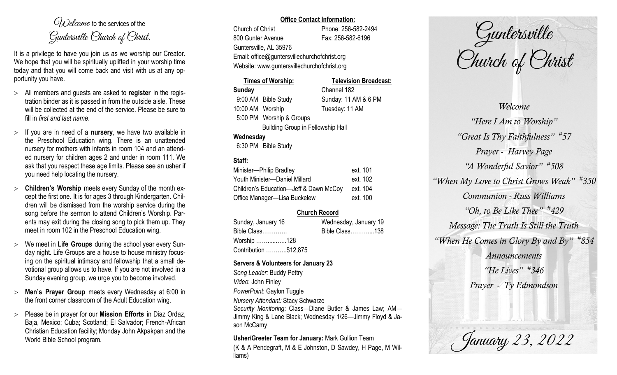$O(\lambda)$  elcame to the services of the Guntersville Church of Christ.

It is a privilege to have you join us as we worship our Creator. We hope that you will be spiritually uplifted in your worship time today and that you will come back and visit with us at any opportunity you have.

- All members and guests are asked to **register** in the registration binder as it is passed in from the outside aisle. These will be collected at the end of the service. Please be sure to fill in *first and last name*.
- $>$  If you are in need of a **nursery**, we have two available in the Preschool Education wing. There is an unattended nursery for mothers with infants in room 104 and an attended nursery for children ages 2 and under in room 111. We ask that you respect these age limits. Please see an usher if you need help locating the nursery.
- **Children's Worship** meets every Sunday of the month except the first one. It is for ages 3 through Kindergarten. Children will be dismissed from the worship service during the song before the sermon to attend Children's Worship. Parents may exit during the closing song to pick them up. They meet in room 102 in the Preschool Education wing.
- We meet in **Life Groups** during the school year every Sunday night. Life Groups are a house to house ministry focusing on the spiritual intimacy and fellowship that a small devotional group allows us to have. If you are not involved in a Sunday evening group, we urge you to become involved.
- **Men's Prayer Group** meets every Wednesday at 6:00 in the front corner classroom of the Adult Education wing.
- Please be in prayer for our **Mission Efforts** in Diaz Ordaz, Baja, Mexico; Cuba; Scotland; El Salvador; French-African Christian Education facility; Monday John Akpakpan and the World Bible School program.

### **Office Contact Information:**

Church of Christ Phone: 256-582-2494 800 Gunter Avenue Fax: 256-582-6196 Guntersville, AL 35976 Email: office@guntersvillechurchofchrist.org Website: www.guntersvillechurchofchrist.org

## **Times of Worship: Television Broadcast: Sunday** Channel 182 9:00 AM Bible Study Sunday: 11 AM & 6 PM 10:00 AM Worship Tuesday: 11 AM 5:00 PM Worship & Groups

Building Group in Fellowship Hall

## **Wednesday**

6:30 PM Bible Study

# **Staff:**

| Minister-Philip Bradley                | ext. 101 |
|----------------------------------------|----------|
| Youth Minister-Daniel Millard          | ext. 102 |
| Children's Education-Jeff & Dawn McCoy | ext. 104 |
| Office Manager-Lisa Buckelew           | ext. 100 |

## **Church Record**

| Sunday, January 16    | Wednesday, January 19 |  |
|-----------------------|-----------------------|--|
| Bible Class           | Bible Class138        |  |
| Worship 128           |                       |  |
| Contribution \$12,875 |                       |  |

## **Servers & Volunteers for January 23**

*Song Leader:* Buddy Pettry *Video*: John Finley *PowerPoint*: Gaylon Tuggle *Nursery Attendant:* Stacy Schwarze *Security Monitoring*: Class—Diane Butler & James Law; AM— Jimmy King & Lane Black; Wednesday 1/26—Jimmy Floyd & Jason McCamy

**Usher/Greeter Team for January:** Mark Gullion Team (K & A Pendegraft, M & E Johnston, D Sawdey, H Page, M Williams)

Guntersville Church of Christ

*Welcome "Here I Am to Worship" "Great Is Thy Faithfulness" # 57 Prayer - Harvey Page "A Wonderful Savior" # 508 "When My Love to Christ Grows Weak" # 350 Communion - Russ Williams "Oh, to Be Like Thee" # 429 Message: The Truth Is Still the Truth "When He Comes in Glory By and By" # 854 Announcements "He Lives" # 346 Prayer - Ty Edmondson*

January 23, 2022